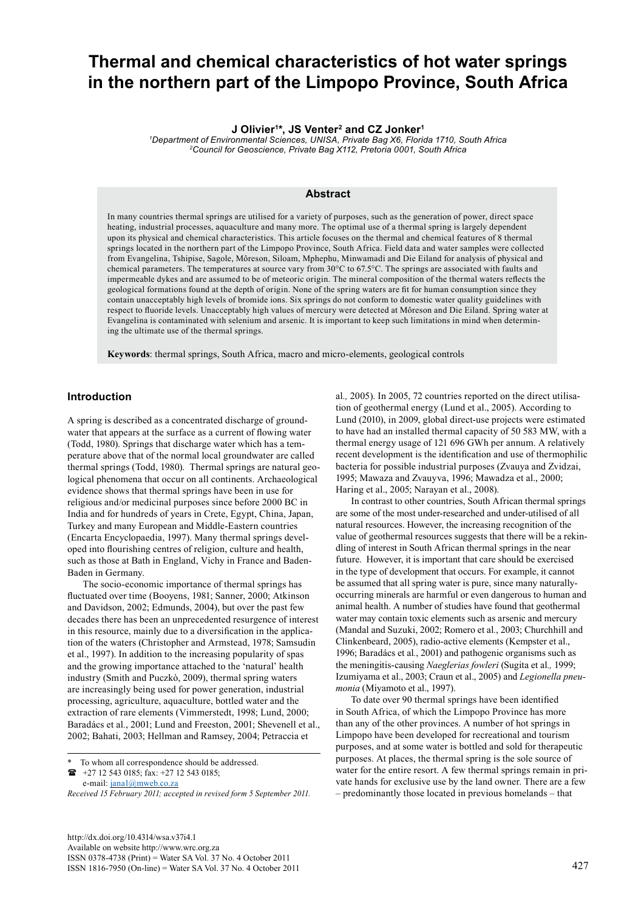# **Thermal and chemical characteristics of hot water springs in the northern part of the Limpopo Province, South Africa**

**J Olivier1 \*, JS Venter2 and CZ Jonker1**

*1 Department of Environmental Sciences, UNISA, Private Bag X6, Florida 1710, South Africa 2Council for Geoscience, Private Bag X112, Pretoria 0001, South Africa*

## **Abstract**

In many countries thermal springs are utilised for a variety of purposes, such as the generation of power, direct space heating, industrial processes, aquaculture and many more. The optimal use of a thermal spring is largely dependent upon its physical and chemical characteristics. This article focuses on the thermal and chemical features of 8 thermal springs located in the northern part of the Limpopo Province, South Africa. Field data and water samples were collected from Evangelina, Tshipise, Sagole, Môreson, Siloam, Mphephu, Minwamadi and Die Eiland for analysis of physical and chemical parameters. The temperatures at source vary from 30°C to 67.5°C. The springs are associated with faults and impermeable dykes and are assumed to be of meteoric origin. The mineral composition of the thermal waters reflects the geological formations found at the depth of origin. None of the spring waters are fit for human consumption since they contain unacceptably high levels of bromide ions. Six springs do not conform to domestic water quality guidelines with respect to fluoride levels. Unacceptably high values of mercury were detected at Môreson and Die Eiland. Spring water at Evangelina is contaminated with selenium and arsenic. It is important to keep such limitations in mind when determining the ultimate use of the thermal springs.

**Keywords**: thermal springs, South Africa, macro and micro-elements, geological controls

### **Introduction**

A spring is described as a concentrated discharge of groundwater that appears at the surface as a current of flowing water (Todd, 1980). Springs that discharge water which has a temperature above that of the normal local groundwater are called thermal springs (Todd, 1980). Thermal springs are natural geological phenomena that occur on all continents. Archaeological evidence shows that thermal springs have been in use for religious and/or medicinal purposes since before 2000 BC in India and for hundreds of years in Crete, Egypt, China, Japan, Turkey and many European and Middle-Eastern countries (Encarta Encyclopaedia, 1997). Many thermal springs developed into flourishing centres of religion, culture and health, such as those at Bath in England, Vichy in France and Baden-Baden in Germany.

The socio-economic importance of thermal springs has fluctuated over time (Booyens, 1981; Sanner, 2000; Atkinson and Davidson, 2002; Edmunds, 2004), but over the past few decades there has been an unprecedented resurgence of interest in this resource, mainly due to a diversification in the application of the waters (Christopher and Armstead, 1978; Samsudin et al., 1997). In addition to the increasing popularity of spas and the growing importance attached to the 'natural' health industry (Smith and Puczkò, 2009), thermal spring waters are increasingly being used for power generation, industrial processing, agriculture, aquaculture, bottled water and the extraction of rare elements (Vimmerstedt, 1998; Lund, 2000; Baradács et al*.*, 2001; Lund and Freeston, 2001; Shevenell et al., 2002; Bahati, 2003; Hellman and Ramsey, 2004; Petraccia et

 +27 12 543 0185; fax: +27 12 543 0185; e-mail: [jana1@mweb.co.za](mailto:jana1@mweb.co.za) 

al*.,* 2005). In 2005, 72 countries reported on the direct utilisation of geothermal energy (Lund et al., 2005). According to Lund (2010), in 2009, global direct-use projects were estimated to have had an installed thermal capacity of 50 583 MW, with a thermal energy usage of 121 696 GWh per annum. A relatively recent development is the identification and use of thermophilic bacteria for possible industrial purposes (Zvauya and Zvidzai, 1995; Mawaza and Zvauyva, 1996; Mawadza et al., 2000; Haring et al., 2005; Narayan et al., 2008).

In contrast to other countries, South African thermal springs are some of the most under-researched and under-utilised of all natural resources. However, the increasing recognition of the value of geothermal resources suggests that there will be a rekindling of interest in South African thermal springs in the near future. However, it is important that care should be exercised in the type of development that occurs. For example, it cannot be assumed that all spring water is pure, since many naturallyoccurring minerals are harmful or even dangerous to human and animal health. A number of studies have found that geothermal water may contain toxic elements such as arsenic and mercury (Mandal and Suzuki, 2002; Romero et al*.*, 2003; Churchhill and Clinkenbeard, 2005), radio-active elements (Kempster et al., 1996; Baradács et al*.*, 2001) and pathogenic organisms such as the meningitis-causing *Naeglerias fowleri* (Sugita et al*.,* 1999; Izumiyama et al., 2003; Craun et al., 2005) and *Legionella pneumonia* (Miyamoto et al., 1997).

To date over 90 thermal springs have been identified in South Africa, of which the Limpopo Province has more than any of the other provinces. A number of hot springs in Limpopo have been developed for recreational and tourism purposes, and at some water is bottled and sold for therapeutic purposes. At places, the thermal spring is the sole source of water for the entire resort. A few thermal springs remain in private hands for exclusive use by the land owner. There are a few – predominantly those located in previous homelands – that

To whom all correspondence should be addressed.

*Received 15 February 2011; accepted in revised form 5 September 2011.*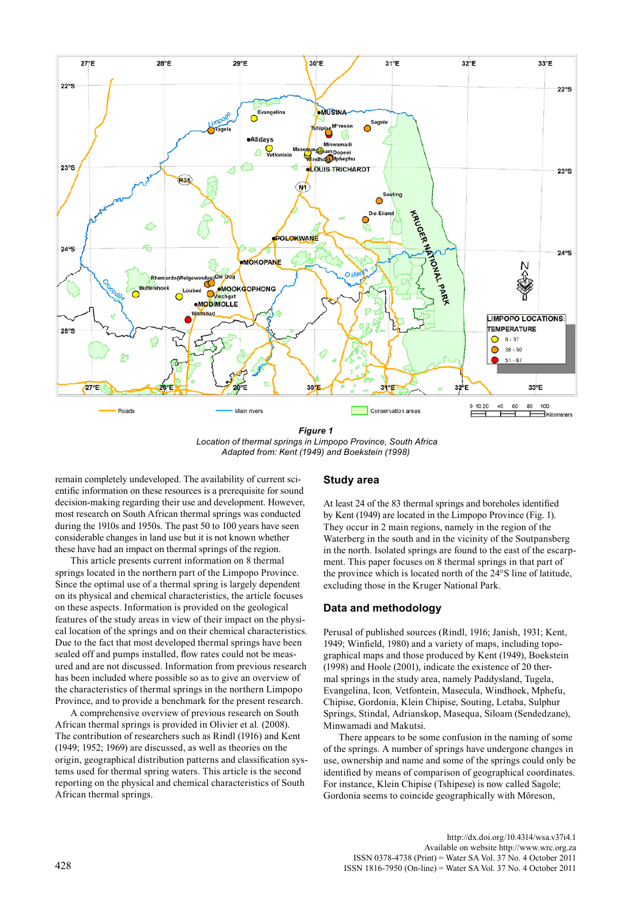

*Figure 1 Location of thermal springs in Limpopo Province, South Africa Adapted from: Kent (1949) and Boekstein (1998)*

remain completely undeveloped. The availability of current scientific information on these resources is a prerequisite for sound decision-making regarding their use and development. However, most research on South African thermal springs was conducted during the 1910s and 1950s. The past 50 to 100 years have seen considerable changes in land use but it is not known whether these have had an impact on thermal springs of the region.

This article presents current information on 8 thermal springs located in the northern part of the Limpopo Province. Since the optimal use of a thermal spring is largely dependent on its physical and chemical characteristics, the article focuses on these aspects. Information is provided on the geological features of the study areas in view of their impact on the physical location of the springs and on their chemical characteristics. Due to the fact that most developed thermal springs have been sealed off and pumps installed, flow rates could not be measured and are not discussed. Information from previous research has been included where possible so as to give an overview of the characteristics of thermal springs in the northern Limpopo Province, and to provide a benchmark for the present research.

A comprehensive overview of previous research on South African thermal springs is provided in Olivier et al*.* (2008). The contribution of researchers such as Rindl (1916) and Kent (1949; 1952; 1969) are discussed, as well as theories on the origin, geographical distribution patterns and classification systems used for thermal spring waters. This article is the second reporting on the physical and chemical characteristics of South African thermal springs.

## **Study area**

At least 24 of the 83 thermal springs and boreholes identified by Kent (1949) are located in the Limpopo Province (Fig. 1). They occur in 2 main regions, namely in the region of the Waterberg in the south and in the vicinity of the Soutpansberg in the north. Isolated springs are found to the east of the escarpment. This paper focuses on 8 thermal springs in that part of the province which is located north of the 24°S line of latitude, excluding those in the Kruger National Park.

## **Data and methodology**

Perusal of published sources (Rindl, 1916; Janish, 1931; Kent, 1949; Winfield, 1980) and a variety of maps, including topographical maps and those produced by Kent (1949), Boekstein (1998) and Hoole (2001), indicate the existence of 20 thermal springs in the study area, namely Paddysland, Tugela, Evangelina, Icon*,* Vetfontein, Masecula, Windhoek, Mphefu, Chipise, Gordonia, Klein Chipise, Souting, Letaba, Sulphur Springs, Stindal, Adrianskop, Masequa, Siloam (Sendedzane), Minwamadi and Makutsi.

There appears to be some confusion in the naming of some of the springs. A number of springs have undergone changes in use, ownership and name and some of the springs could only be identified by means of comparison of geographical coordinates. For instance, Klein Chipise (Tshipese) is now called Sagole; Gordonia seems to coincide geographically with Môreson,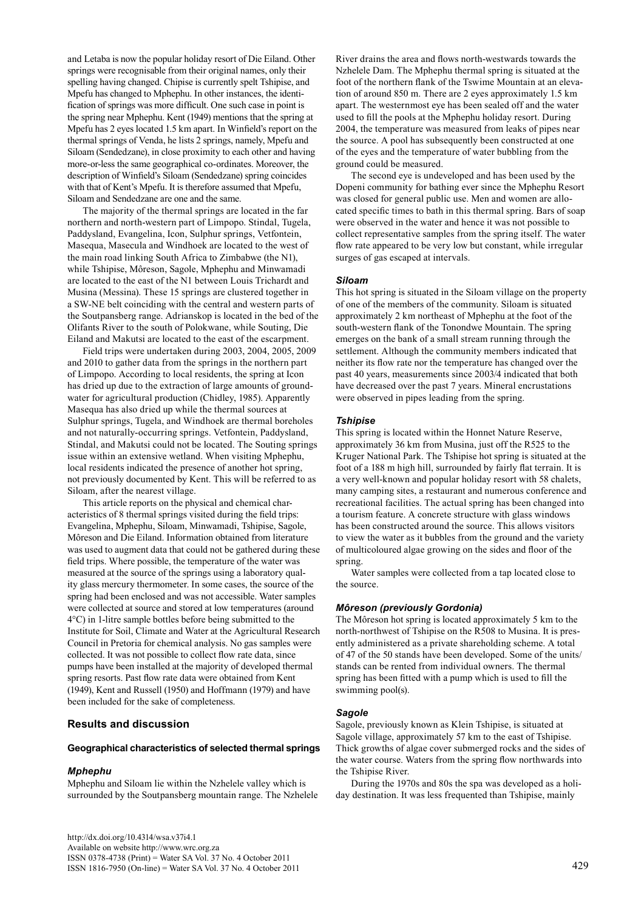and Letaba is now the popular holiday resort of Die Eiland. Other springs were recognisable from their original names, only their spelling having changed. Chipise is currently spelt Tshipise, and Mpefu has changed to Mphephu. In other instances, the identification of springs was more difficult. One such case in point is the spring near Mphephu. Kent (1949) mentions that the spring at Mpefu has 2 eyes located 1.5 km apart. In Winfield's report on the thermal springs of Venda, he lists 2 springs, namely, Mpefu and Siloam (Sendedzane), in close proximity to each other and having more-or-less the same geographical co-ordinates. Moreover, the description of Winfield's Siloam (Sendedzane) spring coincides with that of Kent's Mpefu. It is therefore assumed that Mpefu, Siloam and Sendedzane are one and the same.

The majority of the thermal springs are located in the far northern and north-western part of Limpopo. Stindal, Tugela, Paddysland, Evangelina, Icon, Sulphur springs, Vetfontein, Masequa, Masecula and Windhoek are located to the west of the main road linking South Africa to Zimbabwe (the N1), while Tshipise, Môreson, Sagole, Mphephu and Minwamadi are located to the east of the N1 between Louis Trichardt and Musina (Messina). These 15 springs are clustered together in a SW-NE belt coinciding with the central and western parts of the Soutpansberg range. Adrianskop is located in the bed of the Olifants River to the south of Polokwane, while Souting, Die Eiland and Makutsi are located to the east of the escarpment.

Field trips were undertaken during 2003, 2004, 2005, 2009 and 2010 to gather data from the springs in the northern part of Limpopo. According to local residents, the spring at Icon has dried up due to the extraction of large amounts of groundwater for agricultural production (Chidley, 1985). Apparently Masequa has also dried up while the thermal sources at Sulphur springs, Tugela, and Windhoek are thermal boreholes and not naturally-occurring springs. Vetfontein, Paddysland, Stindal, and Makutsi could not be located. The Souting springs issue within an extensive wetland. When visiting Mphephu, local residents indicated the presence of another hot spring, not previously documented by Kent. This will be referred to as Siloam, after the nearest village.

This article reports on the physical and chemical characteristics of 8 thermal springs visited during the field trips: Evangelina, Mphephu, Siloam, Minwamadi, Tshipise, Sagole, Môreson and Die Eiland. Information obtained from literature was used to augment data that could not be gathered during these field trips. Where possible, the temperature of the water was measured at the source of the springs using a laboratory quality glass mercury thermometer. In some cases, the source of the spring had been enclosed and was not accessible. Water samples were collected at source and stored at low temperatures (around 4°C) in 1-litre sample bottles before being submitted to the Institute for Soil, Climate and Water at the Agricultural Research Council in Pretoria for chemical analysis. No gas samples were collected. It was not possible to collect flow rate data, since pumps have been installed at the majority of developed thermal spring resorts. Past flow rate data were obtained from Kent (1949), Kent and Russell (1950) and Hoffmann (1979) and have been included for the sake of completeness.

#### **Results and discussion**

#### **Geographical characteristics of selected thermal springs**

#### *Mphephu*

Mphephu and Siloam lie within the Nzhelele valley which is surrounded by the Soutpansberg mountain range. The Nzhelele

<http://dx.doi.org/10.4314/wsa.v37i4.1> Available on website http://www.wrc.org.za ISSN 0378-4738 (Print) = Water SA Vol. 37 No. 4 October 2011 ISSN 1816-7950 (On-line) = Water SA Vol. 37 No. 4 October 2011 429

River drains the area and flows north-westwards towards the Nzhelele Dam. The Mphephu thermal spring is situated at the foot of the northern flank of the Tswime Mountain at an elevation of around 850 m. There are 2 eyes approximately 1.5 km apart. The westernmost eye has been sealed off and the water used to fill the pools at the Mphephu holiday resort. During 2004, the temperature was measured from leaks of pipes near the source. A pool has subsequently been constructed at one of the eyes and the temperature of water bubbling from the ground could be measured.

The second eye is undeveloped and has been used by the Dopeni community for bathing ever since the Mphephu Resort was closed for general public use. Men and women are allocated specific times to bath in this thermal spring. Bars of soap were observed in the water and hence it was not possible to collect representative samples from the spring itself. The water flow rate appeared to be very low but constant, while irregular surges of gas escaped at intervals.

#### *Siloam*

This hot spring is situated in the Siloam village on the property of one of the members of the community. Siloam is situated approximately 2 km northeast of Mphephu at the foot of the south-western flank of the Tonondwe Mountain. The spring emerges on the bank of a small stream running through the settlement. Although the community members indicated that neither its flow rate nor the temperature has changed over the past 40 years, measurements since 2003/4 indicated that both have decreased over the past 7 years. Mineral encrustations were observed in pipes leading from the spring.

#### *Tshipise*

This spring is located within the Honnet Nature Reserve, approximately 36 km from Musina, just off the R525 to the Kruger National Park. The Tshipise hot spring is situated at the foot of a 188 m high hill, surrounded by fairly flat terrain. It is a very well-known and popular holiday resort with 58 chalets, many camping sites, a restaurant and numerous conference and recreational facilities. The actual spring has been changed into a tourism feature. A concrete structure with glass windows has been constructed around the source. This allows visitors to view the water as it bubbles from the ground and the variety of multicoloured algae growing on the sides and floor of the spring.

Water samples were collected from a tap located close to the source.

#### *Môreson (previously Gordonia)*

The Môreson hot spring is located approximately 5 km to the north-northwest of Tshipise on the R508 to Musina. It is presently administered as a private shareholding scheme. A total of 47 of the 50 stands have been developed. Some of the units/ stands can be rented from individual owners. The thermal spring has been fitted with a pump which is used to fill the swimming pool(s).

#### *Sagole*

Sagole, previously known as Klein Tshipise, is situated at Sagole village, approximately 57 km to the east of Tshipise. Thick growths of algae cover submerged rocks and the sides of the water course. Waters from the spring flow northwards into the Tshipise River.

During the 1970s and 80s the spa was developed as a holiday destination. It was less frequented than Tshipise, mainly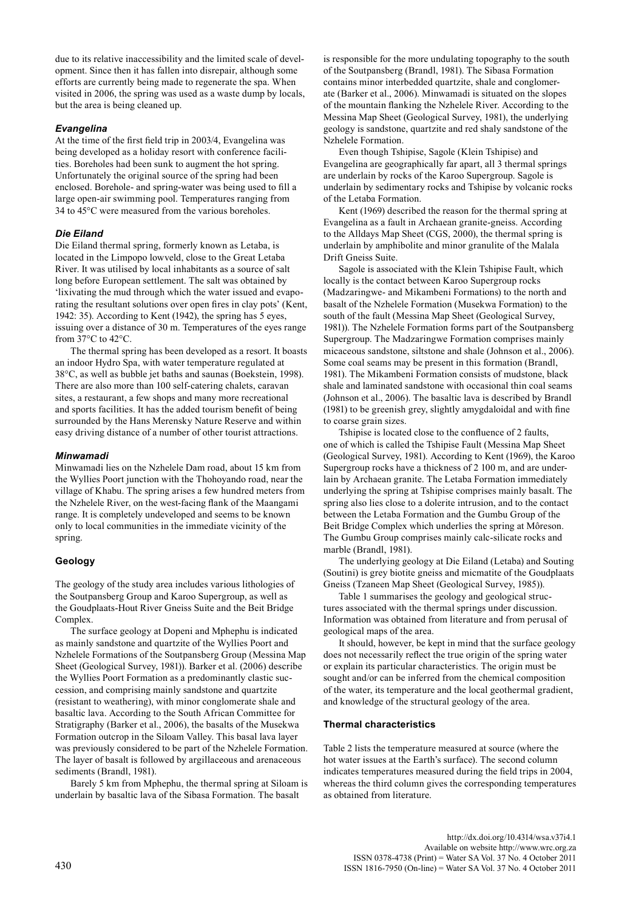due to its relative inaccessibility and the limited scale of development. Since then it has fallen into disrepair, although some efforts are currently being made to regenerate the spa. When visited in 2006, the spring was used as a waste dump by locals, but the area is being cleaned up.

#### *Evangelina*

At the time of the first field trip in 2003/4, Evangelina was being developed as a holiday resort with conference facilities. Boreholes had been sunk to augment the hot spring. Unfortunately the original source of the spring had been enclosed. Borehole- and spring-water was being used to fill a large open-air swimming pool. Temperatures ranging from 34 to 45°C were measured from the various boreholes.

#### *Die Eiland*

Die Eiland thermal spring, formerly known as Letaba, is located in the Limpopo lowveld, close to the Great Letaba River. It was utilised by local inhabitants as a source of salt long before European settlement. The salt was obtained by 'lixivating the mud through which the water issued and evaporating the resultant solutions over open fires in clay pots' (Kent, 1942: 35). According to Kent (1942), the spring has 5 eyes, issuing over a distance of 30 m. Temperatures of the eyes range from 37°C to 42°C.

The thermal spring has been developed as a resort. It boasts an indoor Hydro Spa, with water temperature regulated at 38°C, as well as bubble jet baths and saunas (Boekstein, 1998). There are also more than 100 self-catering chalets, caravan sites, a restaurant, a few shops and many more recreational and sports facilities. It has the added tourism benefit of being surrounded by the Hans Merensky Nature Reserve and within easy driving distance of a number of other tourist attractions.

#### *Minwamadi*

Minwamadi lies on the Nzhelele Dam road, about 15 km from the Wyllies Poort junction with the Thohoyando road, near the village of Khabu. The spring arises a few hundred meters from the Nzhelele River, on the west-facing flank of the Maangami range. It is completely undeveloped and seems to be known only to local communities in the immediate vicinity of the spring.

#### **Geology**

The geology of the study area includes various lithologies of the Soutpansberg Group and Karoo Supergroup, as well as the Goudplaats-Hout River Gneiss Suite and the Beit Bridge Complex.

The surface geology at Dopeni and Mphephu is indicated as mainly sandstone and quartzite of the Wyllies Poort and Nzhelele Formations of the Soutpansberg Group (Messina Map Sheet (Geological Survey, 1981)). Barker et al. (2006) describe the Wyllies Poort Formation as a predominantly clastic succession, and comprising mainly sandstone and quartzite (resistant to weathering), with minor conglomerate shale and basaltic lava. According to the South African Committee for Stratigraphy (Barker et al., 2006), the basalts of the Musekwa Formation outcrop in the Siloam Valley. This basal lava layer was previously considered to be part of the Nzhelele Formation. The layer of basalt is followed by argillaceous and arenaceous sediments (Brandl, 1981).

Barely 5 km from Mphephu, the thermal spring at Siloam is underlain by basaltic lava of the Sibasa Formation. The basalt

is responsible for the more undulating topography to the south of the Soutpansberg (Brandl, 1981). The Sibasa Formation contains minor interbedded quartzite, shale and conglomerate (Barker et al., 2006). Minwamadi is situated on the slopes of the mountain flanking the Nzhelele River. According to the Messina Map Sheet (Geological Survey, 1981), the underlying geology is sandstone, quartzite and red shaly sandstone of the Nzhelele Formation.

Even though Tshipise, Sagole (Klein Tshipise) and Evangelina are geographically far apart, all 3 thermal springs are underlain by rocks of the Karoo Supergroup. Sagole is underlain by sedimentary rocks and Tshipise by volcanic rocks of the Letaba Formation.

Kent (1969) described the reason for the thermal spring at Evangelina as a fault in Archaean granite-gneiss. According to the Alldays Map Sheet (CGS, 2000), the thermal spring is underlain by amphibolite and minor granulite of the Malala Drift Gneiss Suite.

Sagole is associated with the Klein Tshipise Fault, which locally is the contact between Karoo Supergroup rocks (Madzaringwe- and Mikambeni Formations) to the north and basalt of the Nzhelele Formation (Musekwa Formation) to the south of the fault (Messina Map Sheet (Geological Survey, 1981)). The Nzhelele Formation forms part of the Soutpansberg Supergroup. The Madzaringwe Formation comprises mainly micaceous sandstone, siltstone and shale (Johnson et al., 2006). Some coal seams may be present in this formation (Brandl, 1981). The Mikambeni Formation consists of mudstone, black shale and laminated sandstone with occasional thin coal seams (Johnson et al., 2006). The basaltic lava is described by Brandl (1981) to be greenish grey, slightly amygdaloidal and with fine to coarse grain sizes.

Tshipise is located close to the confluence of 2 faults, one of which is called the Tshipise Fault (Messina Map Sheet (Geological Survey, 1981). According to Kent (1969), the Karoo Supergroup rocks have a thickness of 2 100 m, and are underlain by Archaean granite. The Letaba Formation immediately underlying the spring at Tshipise comprises mainly basalt. The spring also lies close to a dolerite intrusion, and to the contact between the Letaba Formation and the Gumbu Group of the Beit Bridge Complex which underlies the spring at Môreson. The Gumbu Group comprises mainly calc-silicate rocks and marble (Brandl, 1981).

The underlying geology at Die Eiland (Letaba) and Souting (Soutini) is grey biotite gneiss and micmatite of the Goudplaats Gneiss (Tzaneen Map Sheet (Geological Survey, 1985)).

Table 1 summarises the geology and geological structures associated with the thermal springs under discussion. Information was obtained from literature and from perusal of geological maps of the area.

It should, however, be kept in mind that the surface geology does not necessarily reflect the true origin of the spring water or explain its particular characteristics. The origin must be sought and/or can be inferred from the chemical composition of the water, its temperature and the local geothermal gradient, and knowledge of the structural geology of the area.

#### **Thermal characteristics**

Table 2 lists the temperature measured at source (where the hot water issues at the Earth's surface). The second column indicates temperatures measured during the field trips in 2004, whereas the third column gives the corresponding temperatures as obtained from literature.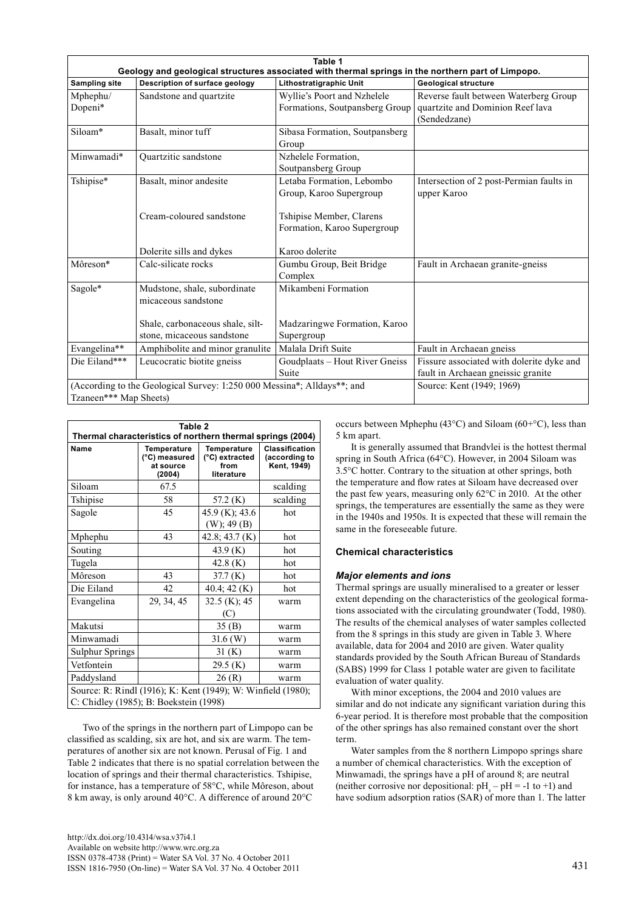| Table 1<br>Geology and geological structures associated with thermal springs in the northern part of Limpopo. |                                                                         |                                                               |                                                                                           |  |  |  |  |
|---------------------------------------------------------------------------------------------------------------|-------------------------------------------------------------------------|---------------------------------------------------------------|-------------------------------------------------------------------------------------------|--|--|--|--|
| <b>Sampling site</b>                                                                                          | Description of surface geology                                          | Lithostratigraphic Unit                                       | <b>Geological structure</b>                                                               |  |  |  |  |
| Mphephu/<br>Dopeni*                                                                                           | Sandstone and quartzite                                                 | Wyllie's Poort and Nzhelele<br>Formations, Soutpansberg Group | Reverse fault between Waterberg Group<br>quartzite and Dominion Reef lava<br>(Sendedzane) |  |  |  |  |
| Siloam*                                                                                                       | Basalt, minor tuff                                                      | Sibasa Formation, Soutpansberg<br>Group                       |                                                                                           |  |  |  |  |
| Minwamadi*                                                                                                    | Quartzitic sandstone                                                    | Nzhelele Formation,<br>Soutpansberg Group                     |                                                                                           |  |  |  |  |
| Tshipise*                                                                                                     | Basalt, minor andesite                                                  | Letaba Formation, Lebombo<br>Group, Karoo Supergroup          | Intersection of 2 post-Permian faults in<br>upper Karoo                                   |  |  |  |  |
|                                                                                                               | Cream-coloured sandstone                                                | Tshipise Member, Clarens<br>Formation, Karoo Supergroup       |                                                                                           |  |  |  |  |
|                                                                                                               | Dolerite sills and dykes                                                | Karoo dolerite                                                |                                                                                           |  |  |  |  |
| Môreson*                                                                                                      | Calc-silicate rocks                                                     | Gumbu Group, Beit Bridge<br>Complex                           | Fault in Archaean granite-gneiss                                                          |  |  |  |  |
| Sagole*                                                                                                       | Mudstone, shale, subordinate<br>micaceous sandstone                     | Mikambeni Formation                                           |                                                                                           |  |  |  |  |
|                                                                                                               | Shale, carbonaceous shale, silt-<br>stone, micaceous sandstone          | Madzaringwe Formation, Karoo<br>Supergroup                    |                                                                                           |  |  |  |  |
| Evangelina**                                                                                                  | Amphibolite and minor granulite                                         | Malala Drift Suite                                            | Fault in Archaean gneiss                                                                  |  |  |  |  |
| Die Eiland***                                                                                                 | Leucocratic biotite gneiss                                              | Goudplaats - Hout River Gneiss<br>Suite                       | Fissure associated with dolerite dyke and<br>fault in Archaean gneissic granite           |  |  |  |  |
| Tzaneen*** Map Sheets)                                                                                        | (According to the Geological Survey: 1:250 000 Messina*; Alldays**; and | Source: Kent (1949; 1969)                                     |                                                                                           |  |  |  |  |

| Table 2<br>Thermal characteristics of northern thermal springs (2004)                                  |                                                            |                                                            |                                                       |  |  |  |  |  |
|--------------------------------------------------------------------------------------------------------|------------------------------------------------------------|------------------------------------------------------------|-------------------------------------------------------|--|--|--|--|--|
| Name                                                                                                   | <b>Temperature</b><br>(°C) measured<br>at source<br>(2004) | <b>Temperature</b><br>(°C) extracted<br>from<br>literature | <b>Classification</b><br>(according to<br>Kent, 1949) |  |  |  |  |  |
| Siloam                                                                                                 | 67.5                                                       |                                                            | scalding                                              |  |  |  |  |  |
| Tshipise                                                                                               | 58                                                         | 57.2 $(K)$                                                 | scalding                                              |  |  |  |  |  |
| Sagole                                                                                                 | 45                                                         | 45.9 (K); 43.6<br>(W); 49(B)                               | hot                                                   |  |  |  |  |  |
| Mphephu                                                                                                | 43                                                         | 42.8; 43.7(K)                                              | hot                                                   |  |  |  |  |  |
| Souting                                                                                                |                                                            | 43.9 $(K)$                                                 | hot                                                   |  |  |  |  |  |
| Tugela                                                                                                 |                                                            | 42.8 $(K)$                                                 | hot                                                   |  |  |  |  |  |
| Môreson                                                                                                | 43                                                         | 37.7(K)                                                    | hot                                                   |  |  |  |  |  |
| Die Eiland                                                                                             | 42                                                         | 40.4; 42 (K)                                               | hot                                                   |  |  |  |  |  |
| Evangelina                                                                                             | 29, 34, 45                                                 | $32.5$ (K); 45<br>(C)                                      | warm                                                  |  |  |  |  |  |
| Makutsi                                                                                                |                                                            | 35(B)                                                      | warm                                                  |  |  |  |  |  |
| Minwamadi                                                                                              |                                                            | $31.6$ (W)                                                 | warm                                                  |  |  |  |  |  |
| <b>Sulphur Springs</b>                                                                                 |                                                            | 31 $(K)$                                                   | warm                                                  |  |  |  |  |  |
| Vetfontein                                                                                             |                                                            | $29.5$ (K)                                                 | warm                                                  |  |  |  |  |  |
| Paddysland                                                                                             |                                                            | 26(R)                                                      | warm                                                  |  |  |  |  |  |
| Source: R: Rindl (1916); K: Kent (1949); W: Winfield (1980);<br>C: Chidley (1985); B: Boekstein (1998) |                                                            |                                                            |                                                       |  |  |  |  |  |

Two of the springs in the northern part of Limpopo can be classified as scalding, six are hot, and six are warm. The temperatures of another six are not known. Perusal of Fig. 1 and Table 2 indicates that there is no spatial correlation between the location of springs and their thermal characteristics. Tshipise, for instance, has a temperature of 58°C, while Môreson, about 8 km away, is only around 40°C. A difference of around 20°C

occurs between Mphephu (43°C) and Siloam (60+°C), less than 5 km apart.

It is generally assumed that Brandvlei is the hottest thermal spring in South Africa (64°C). However, in 2004 Siloam was 3.5°C hotter. Contrary to the situation at other springs, both the temperature and flow rates at Siloam have decreased over the past few years, measuring only 62°C in 2010. At the other springs, the temperatures are essentially the same as they were in the 1940s and 1950s. It is expected that these will remain the same in the foreseeable future.

## **Chemical characteristics**

#### *Major elements and ions*

Thermal springs are usually mineralised to a greater or lesser extent depending on the characteristics of the geological formations associated with the circulating groundwater (Todd, 1980). The results of the chemical analyses of water samples collected from the 8 springs in this study are given in Table 3. Where available, data for 2004 and 2010 are given. Water quality standards provided by the South African Bureau of Standards (SABS) 1999 for Class 1 potable water are given to facilitate evaluation of water quality.

With minor exceptions, the 2004 and 2010 values are similar and do not indicate any significant variation during this 6-year period. It is therefore most probable that the composition of the other springs has also remained constant over the short term.

Water samples from the 8 northern Limpopo springs share a number of chemical characteristics. With the exception of Minwamadi, the springs have a pH of around 8; are neutral (neither corrosive nor depositional:  $pH_s - pH = -1$  to +1) and have sodium adsorption ratios (SAR) of more than 1. The latter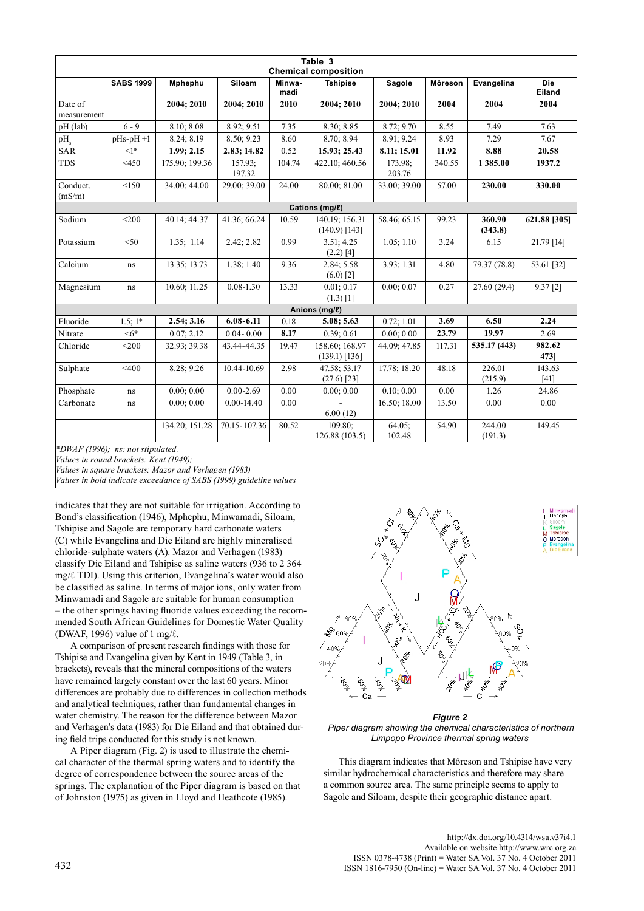| Table 3<br><b>Chemical composition</b> |                  |                |                   |                |                                   |                       |         |                   |                      |  |
|----------------------------------------|------------------|----------------|-------------------|----------------|-----------------------------------|-----------------------|---------|-------------------|----------------------|--|
|                                        | <b>SABS 1999</b> | Mphephu        | Siloam            | Minwa-<br>madi | <b>Tshipise</b>                   | Sagole                | Môreson | Evangelina        | <b>Die</b><br>Eiland |  |
| Date of<br>measurement                 |                  | 2004; 2010     | 2004; 2010        | 2010           | 2004; 2010                        | 2004; 2010            | 2004    | 2004              | 2004                 |  |
| pH (lab)                               | $6 - 9$          | 8.10; 8.08     | 8.92; 9.51        | 7.35           | 8.30; 8.85                        | 8.72; 9.70            | 8.55    | 7.49              | 7.63                 |  |
| pH                                     | $pHs-pH \pm 1$   | 8.24; 8.19     | 8.50; 9.23        | 8.60           | 8.70; 8.94                        | 8.91; 9.24            | 8.93    | 7.29              | 7.67                 |  |
| <b>SAR</b>                             | $<$ 1*           | 1.99; 2.15     | 2.83; 14.82       | 0.52           | 15.93; 25.43                      | 8.11; 15.01           | 11.92   | 8.88              | 20.58                |  |
| <b>TDS</b>                             | $<$ 450          | 175.90; 199.36 | 157.93:<br>197.32 | 104.74         | 422.10; 460.56                    | 173.98;<br>203.76     | 340.55  | 1385.00           | 1937.2               |  |
| Conduct.<br>(mS/m)                     | <150             | 34.00; 44.00   | 29.00; 39.00      | 24.00          | 80.00; 81.00                      | 33.00; 39.00          | 57.00   | 230.00            | 330.00               |  |
|                                        |                  |                |                   |                | Cations (mg/l)                    |                       |         |                   |                      |  |
| Sodium                                 | $<$ 200          | 40.14; 44.37   | 41.36; 66.24      | 10.59          | 140.19; 156.31<br>$(140.9)$ [143] | 58.46; 65.15          | 99.23   | 360.90<br>(343.8) | 621.88 [305]         |  |
| Potassium                              | < 50             | 1.35; 1.14     | 2.42; 2.82        | 0.99           | 3.51; 4.25<br>$(2.2)$ [4]         | 1.05; 1.10            | 3.24    |                   | 21.79 [14]           |  |
| Calcium                                | ns               | 13.35; 13.73   | 1.38; 1.40        | 9.36           | 2.84; 5.58<br>$(6.0)$ [2]         | 3.93; 1.31            | 4.80    |                   | 53.61 [32]           |  |
| Magnesium                              | ns               | 10.60; 11.25   | $0.08 - 1.30$     | 13.33          | 0.01:0.17<br>$(1.3)$ [1]          | 0.00:0.07             | 0.27    | 27.60 (29.4)      | 9.37[2]              |  |
|                                        |                  |                |                   |                | Anions (mg/l)                     |                       |         |                   |                      |  |
| Fluoride                               | $1.5;1*$         | 2.54; 3.16     | $6.08 - 6.11$     | 0.18           | 5.08; 5.63                        | 0.72; 1.01            | 3.69    | 6.50              | 2.24                 |  |
| Nitrate                                | $<6*$            | 0.07; 2.12     | $0.04 - 0.00$     | 8.17           | 0.39; 0.61                        | 0.00; 0.00            | 23.79   | 19.97             | 2.69                 |  |
| Chloride                               | $<$ 200          | 32.93; 39.38   | 43.44-44.35       | 19.47          | 158.60; 168.97<br>$(139.1)$ [136] | 44.09; 47.85          | 117.31  | 535.17 (443)      | 982.62<br>473]       |  |
| Sulphate                               | $<$ 400          | 8.28; 9.26     | 10.44-10.69       | 2.98           | 47.58; 53.17<br>$(27.6)$ [23]     | 17.78; 18.20<br>48.18 |         | 226.01<br>(215.9) | 143.63<br>[41]       |  |
| Phosphate                              | ns               | 0.00; 0.00     | $0.00 - 2.69$     | 0.00           | 0.00; 0.00                        | 0.10; 0.00            | 0.00    | 1.26              | 24.86                |  |
| Carbonate                              | ns               | 0.00; 0.00     | $0.00 - 14.40$    | 0.00           | 6.00(12)                          | 16.50; 18.00          | 13.50   | 0.00              | 0.00                 |  |
|                                        |                  | 134.20; 151.28 | 70.15-107.36      | 80.52          | 109.80;<br>126.88 (103.5)         | 64.05;<br>102.48      | 54.90   | 244.00<br>(191.3) | 149.45               |  |

*\*DWAF (1996); ns: not stipulated.* 

*Values in round brackets: Kent (1949);* 

*Values in square brackets: Mazor and Verhagen (1983)*

*Values in bold indicate exceedance of SABS (1999) guideline values*

indicates that they are not suitable for irrigation. According to Bond's classification (1946), Mphephu, Minwamadi, Siloam, Tshipise and Sagole are temporary hard carbonate waters (C) while Evangelina and Die Eiland are highly mineralised chloride-sulphate waters (A). Mazor and Verhagen (1983) classify Die Eiland and Tshipise as saline waters (936 to 2 364 mg/ℓ TDI). Using this criterion, Evangelina's water would also be classified as saline. In terms of major ions, only water from Minwamadi and Sagole are suitable for human consumption – the other springs having fluoride values exceeding the recommended South African Guidelines for Domestic Water Quality (DWAF, 1996) value of 1 mg/ℓ.

A comparison of present research findings with those for Tshipise and Evangelina given by Kent in 1949 (Table 3, in brackets), reveals that the mineral compositions of the waters have remained largely constant over the last 60 years. Minor differences are probably due to differences in collection methods and analytical techniques, rather than fundamental changes in water chemistry. The reason for the difference between Mazor and Verhagen's data (1983) for Die Eiland and that obtained during field trips conducted for this study is not known.

A Piper diagram (Fig. 2) is used to illustrate the chemical character of the thermal spring waters and to identify the degree of correspondence between the source areas of the springs. The explanation of the Piper diagram is based on that of Johnston (1975) as given in Lloyd and Heathcote (1985).



*Figure 2 Piper diagram showing the chemical characteristics of northern Limpopo Province thermal spring waters*

This diagram indicates that Môreson and Tshipise have very similar hydrochemical characteristics and therefore may share a common source area. The same principle seems to apply to Sagole and Siloam, despite their geographic distance apart.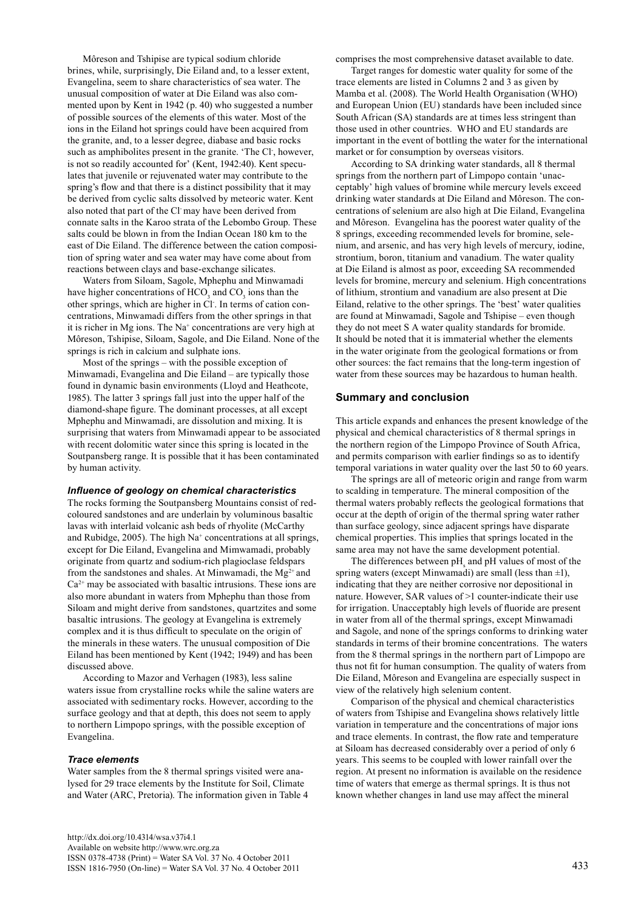Môreson and Tshipise are typical sodium chloride brines, while, surprisingly, Die Eiland and, to a lesser extent, Evangelina, seem to share characteristics of sea water. The unusual composition of water at Die Eiland was also commented upon by Kent in 1942 (p. 40) who suggested a number of possible sources of the elements of this water. Most of the ions in the Eiland hot springs could have been acquired from the granite, and, to a lesser degree, diabase and basic rocks such as amphibolites present in the granite. 'The Cl', however, is not so readily accounted for' (Kent, 1942:40). Kent speculates that juvenile or rejuvenated water may contribute to the spring's flow and that there is a distinct possibility that it may be derived from cyclic salts dissolved by meteoric water. Kent also noted that part of the Cl- may have been derived from connate salts in the Karoo strata of the Lebombo Group. These salts could be blown in from the Indian Ocean 180 km to the east of Die Eiland. The difference between the cation composition of spring water and sea water may have come about from reactions between clays and base-exchange silicates.

Waters from Siloam, Sagole, Mphephu and Minwamadi have higher concentrations of  $HCO_3$  and  $CO_3$  ions than the other springs, which are higher in Cl- . In terms of cation concentrations, Minwamadi differs from the other springs in that it is richer in Mg ions. The Na<sup>+</sup> concentrations are very high at Môreson, Tshipise, Siloam, Sagole, and Die Eiland. None of the springs is rich in calcium and sulphate ions.

Most of the springs – with the possible exception of Minwamadi, Evangelina and Die Eiland – are typically those found in dynamic basin environments (Lloyd and Heathcote, 1985). The latter 3 springs fall just into the upper half of the diamond-shape figure. The dominant processes, at all except Mphephu and Minwamadi, are dissolution and mixing. It is surprising that waters from Minwamadi appear to be associated with recent dolomitic water since this spring is located in the Soutpansberg range. It is possible that it has been contaminated by human activity.

## *Influence of geology on chemical characteristics*

The rocks forming the Soutpansberg Mountains consist of redcoloured sandstones and are underlain by voluminous basaltic lavas with interlaid volcanic ash beds of rhyolite (McCarthy and Rubidge, 2005). The high Na+ concentrations at all springs, except for Die Eiland, Evangelina and Mimwamadi, probably originate from quartz and sodium-rich plagioclase feldspars from the sandstones and shales. At Minwamadi, the  $Mg^{2+}$  and  $Ca<sup>2+</sup>$  may be associated with basaltic intrusions. These ions are also more abundant in waters from Mphephu than those from Siloam and might derive from sandstones, quartzites and some basaltic intrusions. The geology at Evangelina is extremely complex and it is thus difficult to speculate on the origin of the minerals in these waters. The unusual composition of Die Eiland has been mentioned by Kent (1942; 1949) and has been discussed above.

According to Mazor and Verhagen (1983), less saline waters issue from crystalline rocks while the saline waters are associated with sedimentary rocks. However, according to the surface geology and that at depth, this does not seem to apply to northern Limpopo springs, with the possible exception of Evangelina.

#### *Trace elements*

Water samples from the 8 thermal springs visited were analysed for 29 trace elements by the Institute for Soil, Climate and Water (ARC, Pretoria). The information given in Table 4 comprises the most comprehensive dataset available to date.

Target ranges for domestic water quality for some of the trace elements are listed in Columns 2 and 3 as given by Mamba et al. (2008). The World Health Organisation (WHO) and European Union (EU) standards have been included since South African (SA) standards are at times less stringent than those used in other countries. WHO and EU standards are important in the event of bottling the water for the international market or for consumption by overseas visitors.

According to SA drinking water standards, all 8 thermal springs from the northern part of Limpopo contain 'unacceptably' high values of bromine while mercury levels exceed drinking water standards at Die Eiland and Môreson. The concentrations of selenium are also high at Die Eiland, Evangelina and Môreson. Evangelina has the poorest water quality of the 8 springs, exceeding recommended levels for bromine, selenium, and arsenic, and has very high levels of mercury, iodine, strontium, boron, titanium and vanadium. The water quality at Die Eiland is almost as poor, exceeding SA recommended levels for bromine, mercury and selenium. High concentrations of lithium, strontium and vanadium are also present at Die Eiland, relative to the other springs. The 'best' water qualities are found at Minwamadi, Sagole and Tshipise – even though they do not meet S A water quality standards for bromide. It should be noted that it is immaterial whether the elements in the water originate from the geological formations or from other sources: the fact remains that the long-term ingestion of water from these sources may be hazardous to human health.

#### **Summary and conclusion**

This article expands and enhances the present knowledge of the physical and chemical characteristics of 8 thermal springs in the northern region of the Limpopo Province of South Africa, and permits comparison with earlier findings so as to identify temporal variations in water quality over the last 50 to 60 years.

The springs are all of meteoric origin and range from warm to scalding in temperature. The mineral composition of the thermal waters probably reflects the geological formations that occur at the depth of origin of the thermal spring water rather than surface geology, since adjacent springs have disparate chemical properties. This implies that springs located in the same area may not have the same development potential.

The differences between  $pH_s$  and  $pH$  values of most of the spring waters (except Minwamadi) are small (less than  $\pm 1$ ), indicating that they are neither corrosive nor depositional in nature. However, SAR values of >1 counter-indicate their use for irrigation. Unacceptably high levels of fluoride are present in water from all of the thermal springs, except Minwamadi and Sagole, and none of the springs conforms to drinking water standards in terms of their bromine concentrations. The waters from the 8 thermal springs in the northern part of Limpopo are thus not fit for human consumption. The quality of waters from Die Eiland, Môreson and Evangelina are especially suspect in view of the relatively high selenium content.

Comparison of the physical and chemical characteristics of waters from Tshipise and Evangelina shows relatively little variation in temperature and the concentrations of major ions and trace elements. In contrast, the flow rate and temperature at Siloam has decreased considerably over a period of only 6 years. This seems to be coupled with lower rainfall over the region. At present no information is available on the residence time of waters that emerge as thermal springs. It is thus not known whether changes in land use may affect the mineral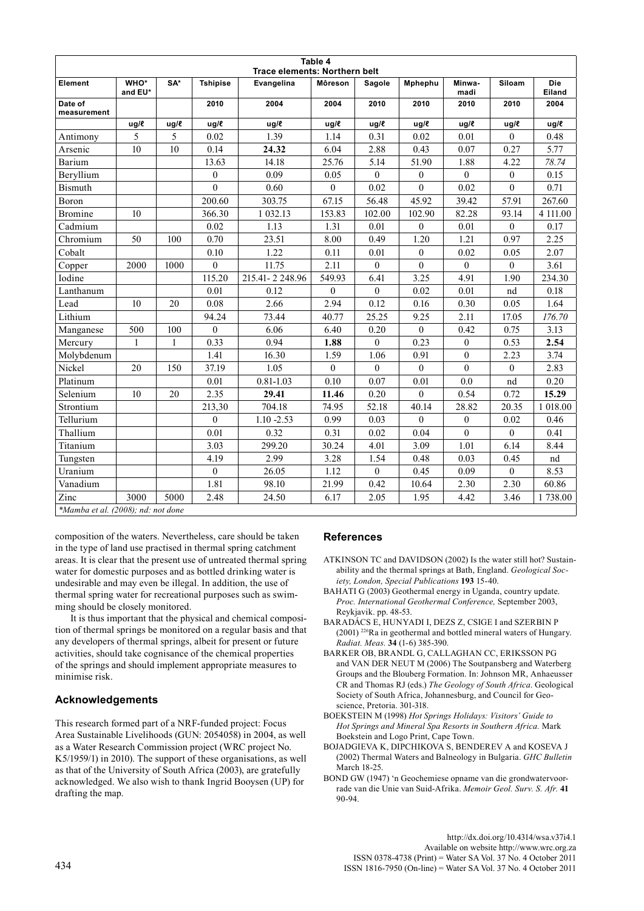| Table 4<br>Trace elements: Northern belt |                 |      |                 |                |                |                  |                  |                  |                  |                      |
|------------------------------------------|-----------------|------|-----------------|----------------|----------------|------------------|------------------|------------------|------------------|----------------------|
| Element                                  | WHO*<br>and EU* | SA*  | <b>Tshipise</b> | Evangelina     | <b>Môreson</b> | Sagole           | Mphephu          | Minwa-<br>madi   | Siloam           | <b>Die</b><br>Eiland |
| Date of<br>measurement                   |                 |      | 2010            | 2004           | 2004           | 2010             | 2010             | 2010             | 2010             | 2004                 |
|                                          | ug/e            | ug/ℓ | ug/R            | ug/e           | ug/ℓ           | ug/ℓ             | ug/e             | ug/e             | ug/R             | ug/e                 |
| Antimony                                 | 5               | 5    | 0.02            | 1.39           | 1.14           | 0.31             | 0.02             | 0.01             | $\mathbf{0}$     | 0.48                 |
| Arsenic                                  | $10\,$          | 10   | 0.14            | 24.32          | 6.04           | 2.88             | 0.43             | 0.07             | 0.27             | 5.77                 |
| Barium                                   |                 |      | 13.63           | 14.18          | 25.76          | 5.14             | 51.90            | 1.88             | 4.22             | 78.74                |
| Beryllium                                |                 |      | $\overline{0}$  | 0.09           | 0.05           | $\overline{0}$   | $\mathbf{0}$     | $\theta$         | $\theta$         | 0.15                 |
| <b>Bismuth</b>                           |                 |      | $\mathbf{0}$    | 0.60           | $\mathbf{0}$   | 0.02             | $\mathbf{0}$     | 0.02             | $\mathbf{0}$     | 0.71                 |
| Boron                                    |                 |      | 200.60          | 303.75         | 67.15          | 56.48            | 45.92            | 39.42            | 57.91            | 267.60               |
| <b>Bromine</b>                           | 10              |      | 366.30          | 1 032.13       | 153.83         | 102.00           | 102.90           | 82.28            | 93.14            | 4 111.00             |
| Cadmium                                  |                 |      | 0.02            | 1.13           | 1.31           | 0.01             | $\boldsymbol{0}$ | 0.01             | $\boldsymbol{0}$ | 0.17                 |
| Chromium                                 | 50              | 100  | 0.70            | 23.51          | 8.00           | 0.49             | 1.20             | 1.21             | 0.97             | 2.25                 |
| Cobalt                                   |                 |      | 0.10            | 1.22           | 0.11           | 0.01             | $\mathbf{0}$     | 0.02             | 0.05             | 2.07                 |
| Copper                                   | 2000            | 1000 | $\overline{0}$  | 11.75          | 2.11           | $\overline{0}$   | $\mathbf{0}$     | $\overline{0}$   | $\mathbf{0}$     | 3.61                 |
| Iodine                                   |                 |      | 115.20          | 215.41-2248.96 | 549.93         | 6.41             | 3.25             | 4.91             | 1.90             | 234.30               |
| Lanthanum                                |                 |      | 0.01            | 0.12           | $\theta$       | $\overline{0}$   | 0.02             | 0.01             | nd               | 0.18                 |
| Lead                                     | 10              | 20   | 0.08            | 2.66           | 2.94           | 0.12             | 0.16             | 0.30             | 0.05             | 1.64                 |
| Lithium                                  |                 |      | 94.24           | 73.44          | 40.77          | 25.25            | 9.25             | 2.11             | 17.05            | 176.70               |
| Manganese                                | 500             | 100  | $\overline{0}$  | 6.06           | 6.40           | 0.20             | $\mathbf{0}$     | 0.42             | 0.75             | 3.13                 |
| Mercury                                  | 1               | 1    | 0.33            | 0.94           | 1.88           | $\overline{0}$   | 0.23             | $\boldsymbol{0}$ | 0.53             | 2.54                 |
| Molybdenum                               |                 |      | 1.41            | 16.30          | 1.59           | 1.06             | 0.91             | $\mathbf{0}$     | 2.23             | 3.74                 |
| Nickel                                   | 20              | 150  | 37.19           | 1.05           | $\mathbf{0}$   | $\boldsymbol{0}$ | $\mathbf{0}$     | $\overline{0}$   | $\boldsymbol{0}$ | 2.83                 |
| Platinum                                 |                 |      | 0.01            | $0.81 - 1.03$  | 0.10           | 0.07             | 0.01             | 0.0              | nd               | 0.20                 |
| Selenium                                 | 10              | 20   | 2.35            | 29.41          | 11.46          | 0.20             | $\theta$         | 0.54             | 0.72             | 15.29                |
| Strontium                                |                 |      | 213,30          | 704.18         | 74.95          | 52.18            | 40.14            | 28.82            | 20.35            | 1 018.00             |
| Tellurium                                |                 |      | $\overline{0}$  | $1.10 - 2.53$  | 0.99           | 0.03             | $\theta$         | $\mathbf{0}$     | 0.02             | 0.46                 |
| Thallium                                 |                 |      | 0.01            | 0.32           | 0.31           | 0.02             | 0.04             | $\boldsymbol{0}$ | $\overline{0}$   | 0.41                 |
| Titanium                                 |                 |      | 3.03            | 299.20         | 30.24          | 4.01             | 3.09             | 1.01             | 6.14             | 8.44                 |
| Tungsten                                 |                 |      | 4.19            | 2.99           | 3.28           | 1.54             | 0.48             | 0.03             | 0.45             | nd                   |
| Uranium                                  |                 |      | $\overline{0}$  | 26.05          | 1.12           | $\overline{0}$   | 0.45             | 0.09             | $\overline{0}$   | 8.53                 |
| Vanadium                                 |                 |      | 1.81            | 98.10          | 21.99          | 0.42             | 10.64            | 2.30             | 2.30             | 60.86                |
| Zinc                                     | 3000            | 5000 | 2.48            | 24.50          | 6.17           | 2.05             | 1.95             | 4.42             | 3.46             | 1738.00              |
| *Mamba et al. (2008); nd: not done       |                 |      |                 |                |                |                  |                  |                  |                  |                      |

composition of the waters. Nevertheless, care should be taken in the type of land use practised in thermal spring catchment areas. It is clear that the present use of untreated thermal spring water for domestic purposes and as bottled drinking water is undesirable and may even be illegal. In addition, the use of thermal spring water for recreational purposes such as swimming should be closely monitored.

It is thus important that the physical and chemical composition of thermal springs be monitored on a regular basis and that any developers of thermal springs, albeit for present or future activities, should take cognisance of the chemical properties of the springs and should implement appropriate measures to minimise risk.

## **Acknowledgements**

This research formed part of a NRF-funded project: Focus Area Sustainable Livelihoods (GUN: 2054058) in 2004, as well as a Water Research Commission project (WRC project No. K5/1959/1) in 2010). The support of these organisations, as well as that of the University of South Africa (2003), are gratefully acknowledged. We also wish to thank Ingrid Booysen (UP) for drafting the map.

## **References**

- ATKINSON TC and DAVIDSON (2002) Is the water still hot? Sustainability and the thermal springs at Bath, England. *Geological Society, London, Special Publications* **193** 15-40.
- BAHATI G (2003) Geothermal energy in Uganda, country update. *Proc. International Geothermal Conference,* September 2003, Reykjavik. pp. 48-53.
- BARADÁCS E, HUNYADI I, DEZS Z, CSIGE I and SZERBIN P (2001) 226Ra in geothermal and bottled mineral waters of Hungary. *Radiat. Meas.* **34** (1-6) 385-390.
- BARKER OB, BRANDL G, CALLAGHAN CC, ERIKSSON PG and VAN DER NEUT M (2006) The Soutpansberg and Waterberg Groups and the Blouberg Formation. In: Johnson MR, Anhaeusser CR and Thomas RJ (eds.) *The Geology of South Africa*. Geological Society of South Africa, Johannesburg, and Council for Geoscience, Pretoria. 301-318.
- Boekstein M (1998) *Hot Springs Holidays: Visitors' Guide to Hot Springs and Mineral Spa Resorts in Southern Africa.* Mark Boekstein and Logo Print, Cape Town.
- Bojadgieva K, Dipchikova S, Benderev A and Koseva J (2002) Thermal Waters and Balneology in Bulgaria. *GHC Bulletin* March 18-25.
- BOND GW (1947) 'n Geochemiese opname van die grondwatervoorrade van die Unie van Suid-Afrika. *Memoir Geol. Surv. S. Afr.* **41** 90-94.

<http://dx.doi.org/10.4314/wsa.v37i4.1> Available on website http://www.wrc.org.za<br>ISSN 0378-4738 (Print) = Water SA Vol. 37 No. 4 October 2011 ISSN 0378-4738 (Print) = Water SA Vol. 37 No. 4 October 2011 <sup>434</sup> ISSN 1816-7950 (On-line) = Water SA Vol. 37 No. 4 October 2011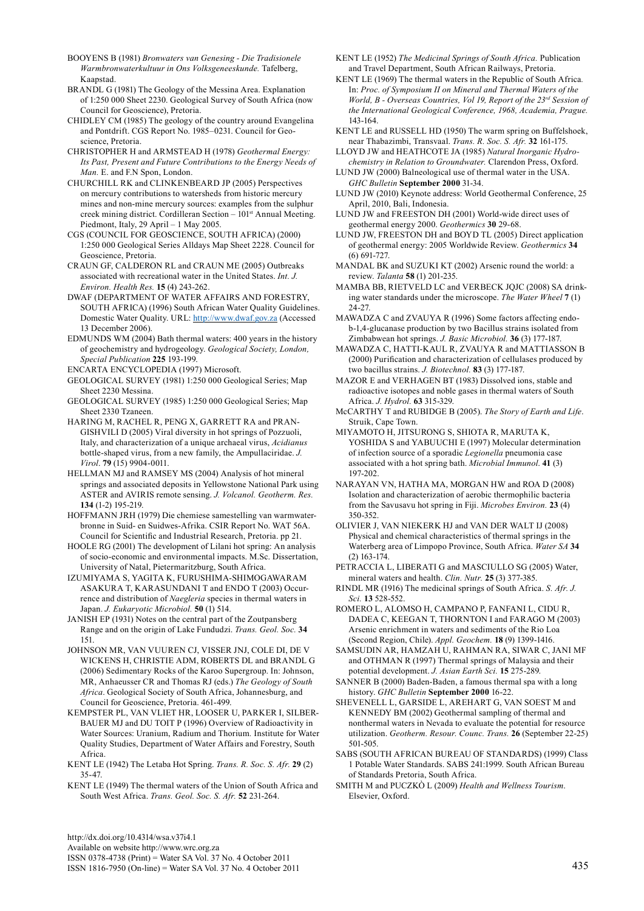Booyens B (1981) *Bronwaters van Genesing - Die Tradisionele Warmbronwaterkultuur in Ons Volksgeneeskunde.* Tafelberg, Kaapstad.

BRANDL G (1981) The Geology of the Messina Area. Explanation of 1:250 000 Sheet 2230. Geological Survey of South Africa (now Council for Geoscience), Pretoria.

CHIDLEY CM (1985) The geology of the country around Evangelina and Pontdrift. CGS Report No. 1985–0231. Council for Geoscience, Pretoria.

Christopher H and Armstead H (1978) *Geothermal Energy: Its Past, Present and Future Contributions to the Energy Needs of Man.* E. and F.N Spon, London.

CHURCHILL RK and CLINKENBEARD JP (2005) Perspectives on mercury contributions to watersheds from historic mercury mines and non-mine mercury sources: examples from the sulphur creek mining district. Cordilleran Section – 101st Annual Meeting. Piedmont, Italy, 29 April – 1 May 2005.

CGS (COUNCIL FOR GEOSCIENCE, SOUTH AFRICA) (2000) 1:250 000 Geological Series Alldays Map Sheet 2228. Council for Geoscience, Pretoria.

CRAUN GF, CALDERON RL and CRAUN ME (2005) Outbreaks associated with recreational water in the United States. *Int. J. Environ. Health Res.* **15** (4) 243-262.

DWAF (Department of Water Affairs and Forestry, SOUTH AFRICA) (1996) South African Water Quality Guidelines. Domestic Water Quality. URL: <http://www.dwaf.gov.za>(Accessed 13 December 2006).

EDMUNDS WM (2004) Bath thermal waters: 400 years in the history of geochemistry and hydrogeology. *Geological Society, London, Special Publication* **225** 193-199.

Encarta Encyclopedia (1997) Microsoft.

GEOLOGICAL SURVEY (1981) 1:250 000 Geological Series; Map Sheet 2230 Messina.

GEOLOGICAL SURVEY (1985) 1:250 000 Geological Series; Map Sheet 2330 Tzaneen.

HARING M, RACHEL R, PENG X, GARRETT RA and PRAN-GISHVILI D (2005) Viral diversity in hot springs of Pozzuoli, Italy, and characterization of a unique archaeal virus, *Acidianus* bottle-shaped virus, from a new family, the Ampullaciridae. *J. Virol*. **79** (15) 9904-0011.

HELLMAN MJ and RAMSEY MS (2004) Analysis of hot mineral springs and associated deposits in Yellowstone National Park using ASTER and AVIRIS remote sensing. *J. Volcanol. Geotherm. Res.* **134** (1-2) 195-219.

HOFFMANN JRH (1979) Die chemiese samestelling van warmwaterbronne in Suid- en Suidwes-Afrika. CSIR Report No. WAT 56A. Council for Scientific and Industrial Research, Pretoria. pp 21.

Hoole RG (2001) The development of Lilani hot spring: An analysis of socio-economic and environmental impacts. M.Sc. Dissertation, University of Natal, Pietermaritzburg, South Africa.

IZUMIYAMA S, YAGITA K, FURUSHIMA-SHIMOGAWARAM ASAKURA T, KARASUNDANI T and ENDO T (2003) Occurrence and distribution of *Naegleria* species in thermal waters in Japan. *J. Eukaryotic Microbiol.* **50** (1) 514.

JANISH EP (1931) Notes on the central part of the Zoutpansberg Range and on the origin of Lake Fundudzi. *Trans. Geol. Soc.* **34** 151.

JOHNSON MR, VAN VUUREN CJ, VISSER JNJ, COLE DI, DE V WICKENS H, CHRISTIE ADM, ROBERTS DL and BRANDL G (2006) Sedimentary Rocks of the Karoo Supergroup. In: Johnson, MR, Anhaeusser CR and Thomas RJ (eds.) *The Geology of South Africa*. Geological Society of South Africa, Johannesburg, and Council for Geoscience, Pretoria. 461-499.

KEMPSTER PL, VAN VLIET HR, LOOSER U, PARKER I, SILBER-BAUER MJ and DU TOIT P (1996) Overview of Radioactivity in Water Sources: Uranium, Radium and Thorium*.* Institute for Water Quality Studies, Department of Water Affairs and Forestry, South Africa.

KENT LE (1942) The Letaba Hot Spring. *Trans. R. Soc. S. Afr.* **29** (2) 35-47.

KENT LE (1949) The thermal waters of the Union of South Africa and South West Africa. *Trans. Geol. Soc. S. Afr.* **52** 231-264.

<http://dx.doi.org/10.4314/wsa.v37i4.1>

Available on website http://www.wrc.org.za

ISSN 0378-4738 (Print) = Water SA Vol. 37 No. 4 October 2011

ISSN 1816-7950 (On-line) = Water SA Vol. 37 No. 4 October 2011 435

Kent LE (1952) *The Medicinal Springs of South Africa.* Publication and Travel Department, South African Railways, Pretoria.

Kent LE (1969) The thermal waters in the Republic of South Africa*.* In: *Proc. of Symposium II on Mineral and Thermal Waters of the World, B - Overseas Countries, Vol 19, Report of the 23rd Session of the International Geological Conference, 1968, Academia, Prague.*  143-164.

KENT LE and RUSSELL HD (1950) The warm spring on Buffelshoek, near Thabazimbi, Transvaal. *Trans. R. Soc. S. Afr.* **32** 161-175.

LLOYD JW and HEATHCOTE JA (1985) *Natural Inorganic Hydrochemistry in Relation to Groundwater.* Clarendon Press, Oxford.

LUND JW (2000) Balneological use of thermal water in the USA. *GHC Bulletin* **September 2000** 31-34.

LUND JW (2010) Keynote address: World Geothermal Conference, 25 April, 2010, Bali, Indonesia.

LUND JW and FREESTON DH (2001) World-wide direct uses of geothermal energy 2000. *Geothermics* **30** 29-68.

LUND JW, FREESTON DH and BOYD TL (2005) Direct application of geothermal energy: 2005 Worldwide Review. *Geothermics* **34** (6) 691-727.

- MANDAL BK and SUZUKI KT (2002) Arsenic round the world: a review. *Talanta* **58** (1) 201-235.
- MAMBA BB, RIETVELD LC and VERBECK JQJC (2008) SA drinking water standards under the microscope. *The Water Wheel* **7** (1) 24-27.

MAWADZA C and ZVAUYA R (1996) Some factors affecting endob-1,4-glucanase production by two Bacillus strains isolated from Zimbabwean hot springs. *J. Basic Microbiol.* **36** (3) 177-187.

MAWADZA C, HATTI-KAUL R, ZVAUYA R and MATTIASSON B (2000) Purification and characterization of cellulases produced by two bacillus strains. *J. Biotechnol.* **83** (3) 177-187.

MAZOR E and VERHAGEN BT (1983) Dissolved ions, stable and radioactive isotopes and noble gases in thermal waters of South Africa. *J. Hydrol.* **63** 315-329.

McCARTHY T and RUBIDGE B (2005). *The Story of Earth and Life*. Struik, Cape Town.

MIYAMOTO H, JITSURONG S, SHIOTA R, MARUTA K, YOSHIDA S and YABUUCHI E (1997) Molecular determination of infection source of a sporadic *Legionella* pneumonia case associated with a hot spring bath. *Microbial Immunol*. **41** (3) 197-202.

NARAYAN VN, HATHA MA, MORGAN HW and ROA D (2008) Isolation and characterization of aerobic thermophilic bacteria from the Savusavu hot spring in Fiji. *Microbes Environ.* **23** (4) 350-352.

OLIVIER J, VAN NIEKERK HJ and VAN DER WALT IJ (2008) Physical and chemical characteristics of thermal springs in the Waterberg area of Limpopo Province, South Africa. *Water SA* **34** (2) 163-174.

PETRACCIA L, LIBERATI G and MASCIULLO SG (2005) Water, mineral waters and health. *Clin. Nutr.* **25** (3) 377-385.

Rindl MR (1916) The medicinal springs of South Africa. *S. Afr. J. Sci.* **13** 528-552.

ROMERO L, ALOMSO H, CAMPANO P, FANFANI L, CIDU R, DADEA C, KEEGAN T, THORNTON I and FARAGO M (2003) Arsenic enrichment in waters and sediments of the Rio Loa (Second Region, Chile). *Appl. Geochem.* **18** (9) 1399-1416.

Samsudin AR, Hamzah U, Rahman RA, Siwar C, Jani MF and OTHMAN R (1997) Thermal springs of Malaysia and their potential development. *J. Asian Earth Sci.* **15** 275-289.

SANNER B (2000) Baden-Baden, a famous thermal spa with a long history. *GHC Bulletin* **September 2000** 16-22.

SHEVENELL L, GARSIDE L, AREHART G, VAN SOEST M and KENNEDY BM (2002) Geothermal sampling of thermal and nonthermal waters in Nevada to evaluate the potential for resource utilization. *Geotherm. Resour. Counc. Trans.* **26** (September 22-25) 501-505.

SABS (South African Bureau of Standards) (1999) Class 1 Potable Water Standards. SABS 241:1999. South African Bureau of Standards Pretoria, South Africa.

SMITH M and PUCZKÒ L (2009) *Health and Wellness Tourism*. Elsevier, Oxford.